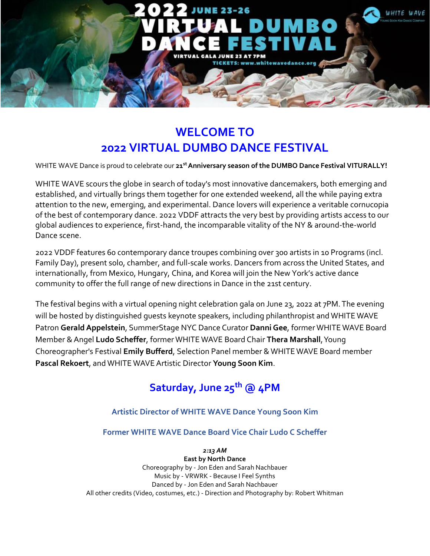

# **WELCOME TO 2022 VIRTUAL DUMBO DANCE FESTIVAL**

WHITE WAVE Dance is proud to celebrate our **21 stAnniversary season of the DUMBO Dance Festival VITURALLY!**

WHITE WAVE scours the globe in search of today's most innovative dancemakers, both emerging and established, and virtually brings them together for one extended weekend, all the while paying extra attention to the new, emerging, and experimental. Dance lovers will experience a veritable cornucopia of the best of contemporary dance. 2022 VDDF attracts the very best by providing artists access to our global audiences to experience, first-hand, the incomparable vitality of the NY & around-the-world Dance scene.

2022 VDDF features 60 contemporary dance troupes combining over 300 artists in 10 Programs (incl. Family Day), present solo, chamber, and full-scale works. Dancers from across the United States, and internationally, from Mexico, Hungary, China, and Korea will join the New York's active dance community to offer the full range of new directions in Dance in the 21st century.

The festival begins with a virtual opening night celebration gala on June 23, 2022 at 7PM.The evening will be hosted by distinguished guests keynote speakers, including philanthropist and WHITE WAVE Patron **GeraldAppelstein**, SummerStage NYC Dance Curator **Danni Gee**, former WHITE WAVE Board Member &Angel **Ludo Scheffer**, former WHITE WAVE Board Chair **Thera Marshall**,Young Choreographer's Festival **Emily Bufferd**, Selection Panel member & WHITE WAVE Board member **Pascal Rekoert**, and WHITE WAVEArtistic Director **Young Soon Kim**.

# **Saturday, June 25th @ 4PM**

# **Artistic Director of WHITE WAVE Dance Young Soon Kim**

# **Former WHITE WAVE Dance Board Vice Chair Ludo C Scheffer**

*2:13 AM* **East by North Dance** Choreography by - Jon Eden and Sarah Nachbauer Music by - VRWRK - Because I Feel Synths Danced by - Jon Eden and Sarah Nachbauer All other credits (Video, costumes, etc.) - Direction and Photography by: Robert Whitman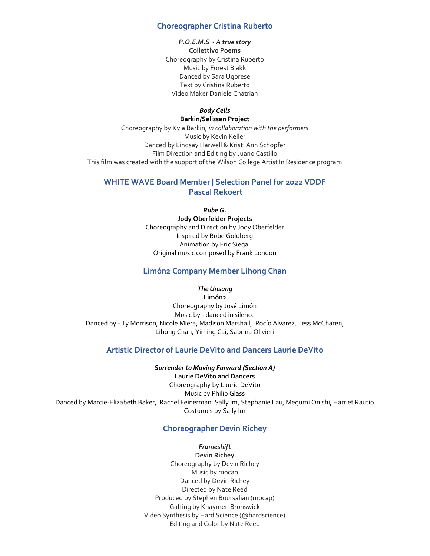#### **Choreographer Cristina Ruberto**

*P.O.E.M.S - A true story* **Collettivo Poems** Choreography by Cristina Ruberto Music by Forest Blakk Danced by Sara Ugorese Text by Cristina Ruberto Video Maker Daniele Chatrian

*Body Cells* **Barkin/Selissen Project** Choreography by Kyla Barkin, *in collaboration with the performers* Music by Kevin Keller Danced by Lindsay Harwell & Kristi Ann Schopfer Film Direction and Editing by Juano Castillo This film was created with the support of the Wilson College Artist In Residence program

## **WHITE WAVE Board Member | Selection Panel for 2022 VDDF Pascal Rekoert**

*Rube G.* **Jody Oberfelder Projects** Choreography and Direction by Jody Oberfelder Inspired by Rube Goldberg Animation by Eric Siegal Original music composed by Frank London

## **Limón2 Company Member Lihong Chan**

### *The Unsung*

**Limón2** Choreography by José Limón Music by - danced in silence Danced by - Ty Morrison, Nicole Miera, Madison Marshall, Rocío Alvarez, Tess McCharen, Lihong Chan, Yiming Cai, Sabrina Olivieri

### **Artistic Director of Laurie DeVito and Dancers Laurie DeVito**

*Surrender to Moving Forward (Section A)* **Laurie DeVito and Dancers** Choreography by Laurie DeVito Music by Philip Glass Danced by Marcie-Elizabeth Baker, Rachel Feinerman, Sally Im, Stephanie Lau, Megumi Onishi, Harriet Rautio Costumes by Sally Im

## **Choreographer Devin Richey**

*Frameshift* **Devin Richey** Choreography by Devin Richey Music by mocap Danced by Devin Richey Directed by Nate Reed Produced by Stephen Boursalian (mocap) Gaffing by Khaymen Brunswick Video Synthesis by Hard Science (@hardscience) Editing and Color by Nate Reed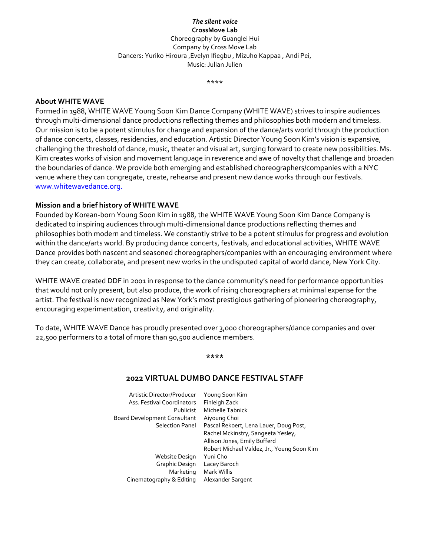#### *The silent voice* **CrossMove Lab**

Choreography by Guanglei Hui Company by Cross Move Lab Dancers: Yuriko Hiroura ,Evelyn Ifiegbu , Mizuho Kappaa , Andi Pei, Music: Julian Julien

\*\*\*\*

#### **About WHITE WAVE**

Formed in 1988, WHITE WAVE Young Soon Kim Dance Company (WHITE WAVE) strives to inspire audiences through multi-dimensional dance productions reflecting themes and philosophies both modern and timeless. Our mission is to be a potent stimulus for change and expansion of the dance/arts world through the production of dance concerts, classes, residencies, and education. Artistic Director Young Soon Kim's vision is expansive, challenging the threshold of dance, music, theater and visual art, surging forward to create new possibilities. Ms. Kim creates works of vision and movement language in reverence and awe of novelty that challenge and broaden the boundaries of dance. We provide both emerging and established choreographers/companies with a NYC venue where they can congregate, create, rehearse and present new dance works through our festivals. [www.whitewavedance.org.](http://www.whitewavedance.org./)

### **Mission and a brief history of WHITE WAVE**

Founded by Korean-born Young Soon Kim in 1988, the WHITE WAVE Young Soon Kim Dance Company is dedicated to inspiring audiences through multi-dimensional dance productions reflecting themes and philosophies both modern and timeless. We constantly strive to be a potent stimulus for progress and evolution within the dance/arts world. By producing dance concerts, festivals, and educational activities, WHITE WAVE Dance provides both nascent and seasoned choreographers/companies with an encouraging environment where they can create, collaborate, and present new works in the undisputed capital of world dance, New York City.

WHITE WAVE created DDF in 2001 in response to the dance community's need for performance opportunities that would not only present, but also produce, the work of rising choreographers at minimal expense for the artist. The festival is now recognized as New York's most prestigious gathering of pioneering choreography, encouraging experimentation, creativity, and originality.

To date, WHITE WAVE Dance has proudly presented over 3,000 choreographers/dance companies and over 22,500 performers to a total of more than 90,500 audience members.

#### **\*\*\*\***

### **2022 VIRTUAL DUMBO DANCE FESTIVAL STAFF**

| Artistic Director/Producer   | Young Soon Kim                             |
|------------------------------|--------------------------------------------|
| Ass. Festival Coordinators   | Finleigh Zack                              |
| Publicist                    | Michelle Tabnick                           |
| Board Development Consultant | Aiyoung Choi                               |
| <b>Selection Panel</b>       | Pascal Rekoert, Lena Lauer, Doug Post,     |
|                              | Rachel Mckinstry, Sangeeta Yesley,         |
|                              | Allison Jones, Emily Bufferd               |
|                              | Robert Michael Valdez, Jr., Young Soon Kim |
| Website Design               | Yuni Cho                                   |
| Graphic Design               | Lacey Baroch                               |
| Marketing                    | Mark Willis                                |
| Cinematography & Editing     | Alexander Sargent                          |